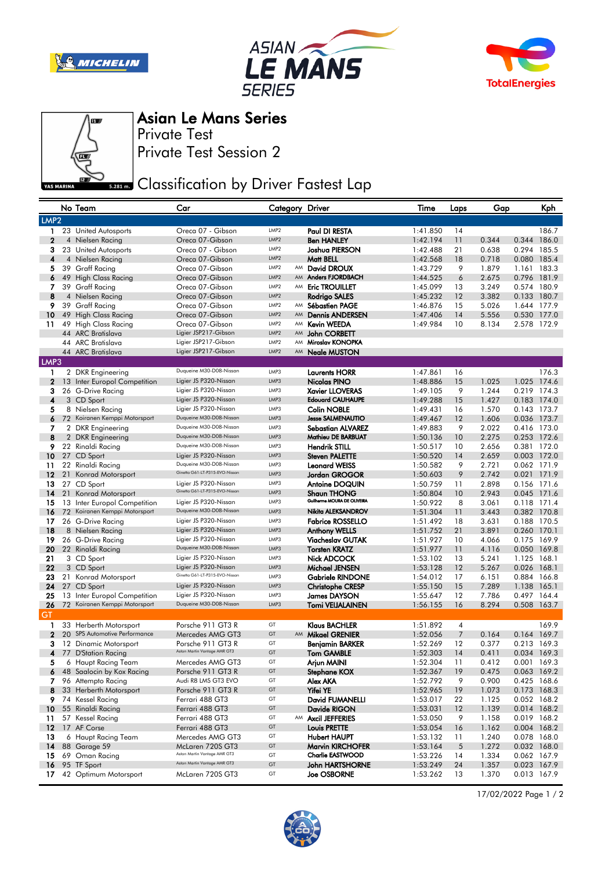







## Asian Le Mans Series

Private Test

Private Test Session 2

## **Bank** Classification by Driver Fastest Lap

|                  |    | No Team                                                       | Car                                                     |                                      | Category Driver                                   | Time                 | Laps           | Gap            |             | Kph                        |
|------------------|----|---------------------------------------------------------------|---------------------------------------------------------|--------------------------------------|---------------------------------------------------|----------------------|----------------|----------------|-------------|----------------------------|
| LMP <sub>2</sub> |    |                                                               |                                                         |                                      |                                                   |                      |                |                |             |                            |
| 1                |    | 23 United Autosports                                          | Oreca 07 - Gibson                                       | LMP <sub>2</sub>                     | Paul DI RESTA                                     | 1:41.850             | 14             |                |             | 186.7                      |
| 2                |    | 4 Nielsen Racing                                              | Oreca 07-Gibson                                         | LMP <sub>2</sub>                     | <b>Ben HANLEY</b>                                 | 1:42.194             | 11             | 0.344          |             | 0.344 186.0                |
| 3                |    | 23 United Autosports                                          | Oreca 07 - Gibson                                       | LMP <sub>2</sub>                     | Joshua PIERSON                                    | 1:42.488             | 21             | 0.638          |             | 0.294 185.5                |
| 4                |    | 4 Nielsen Racing                                              | Oreca 07-Gibson                                         | LMP <sub>2</sub>                     | Matt BELL                                         | 1:42.568             | 18             | 0.718          | 0.080       | 185.4                      |
| 5                |    | 39 Graff Racing                                               | Oreca 07-Gibson                                         | LMP <sub>2</sub>                     | AM David DROUX                                    | 1:43.729             | 9              | 1.879          |             | 1.161 183.3                |
| 6                |    | 49 High Class Racing                                          | Oreca 07-Gibson                                         | LMP <sub>2</sub><br>LMP <sub>2</sub> | AM Anders FJORDBACH                               | 1:44.525             | 6              | 2.675          |             | 0.796 181.9                |
| 7<br>8           |    | 39 Graff Racing                                               | Oreca 07-Gibson<br>Oreca 07-Gibson                      | LMP <sub>2</sub>                     | AM Eric TROUILLET<br>Rodrigo SALES                | 1:45.099             | 13<br>12       | 3.249<br>3.382 | 0.133       | 0.574 180.9<br>180.7       |
| 9                |    | 4 Nielsen Racing<br>39 Graff Racing                           | Oreca 07-Gibson                                         | LMP <sub>2</sub>                     | AM Sébastien PAGE                                 | 1:45.232<br>1:46.876 | 15             | 5.026          |             | 1.644 177.9                |
| 10               |    | 49 High Class Racing                                          | Oreca 07-Gibson                                         | LMP <sub>2</sub>                     | AM Dennis ANDERSEN                                | 1:47.406             | 14             | 5.556          |             | 0.530 177.0                |
| 11               |    | 49 High Class Racing                                          | Oreca 07-Gibson                                         | LMP <sub>2</sub>                     | AM Kevin WEEDA                                    | 1:49.984             | 10             | 8.134          |             | 2.578 172.9                |
|                  |    | 44 ARC Bratislava                                             | Ligier JSP217-Gibson                                    | LMP <sub>2</sub>                     | AM John CORBETT                                   |                      |                |                |             |                            |
|                  |    | 44 ARC Bratislava                                             | Ligier JSP217-Gibson                                    | LMP2                                 | AM Miroslav KONOPKA                               |                      |                |                |             |                            |
|                  |    | 44 ARC Bratislava                                             | Ligier JSP217-Gibson                                    | LMP <sub>2</sub>                     | AM <b>Neale MUSTON</b>                            |                      |                |                |             |                            |
| LMP3             |    |                                                               |                                                         |                                      |                                                   |                      |                |                |             |                            |
| 1                |    | 2 DKR Engineering                                             | Duqueine M30-D08-Nissan                                 | LMP3                                 | <b>Laurents HORR</b>                              | 1:47.861             | 16             |                |             | 176.3                      |
| $\mathbf{2}$     |    | 13 Inter Europol Competition                                  | Ligier JS P320-Nissan                                   | LMP3                                 | Nicolas PINO                                      | 1:48.886             | 15             | 1.025          |             | 1.025 174.6                |
| з                |    | 26 G-Drive Racing                                             | Ligier JS P320-Nissan                                   | LMP3                                 | <b>Xavier LLOVERAS</b>                            | 1:49.105             | 9              | 1.244          |             | 0.219 174.3                |
| 4                |    | 3 CD Sport                                                    | Ligier JS P320-Nissan<br>Ligier JS P320-Nissan          | LMP3<br>LMP3                         | <b>Edouard CAUHAUPE</b><br><b>Colin NOBLE</b>     | 1:49.288             | 15             | 1.427          |             | 0.183 174.0<br>0.143 173.7 |
| 5<br>6           |    | 8 Nielsen Racing<br>72 Koiranen Kemppi Motorsport             | Duqueine M30-D08-Nissan                                 | LMP3                                 | <b>Jesse SALMENAUTIO</b>                          | 1:49.431<br>1:49.467 | 16<br>12       | 1.570<br>1.606 |             | 0.036 173.7                |
| 7                |    | 2 DKR Engineering                                             | Duqueine M30-D08-Nissan                                 | LMP3                                 | Sebastian ALVAREZ                                 | 1:49.883             | 9              | 2.022          |             | 0.416 173.0                |
| 8                |    | 2 DKR Engineering                                             | Duqueine M30-D08-Nissan                                 | LMP3                                 | Mathieu DE BARBUAT                                | 1:50.136             | 10             | 2.275          |             | 0.253 172.6                |
| 9                |    | 22 Rinaldi Racing                                             | Duqueine M30-D08-Nissan                                 | LMP3                                 | Hendrik STILL                                     | 1:50.517             | 10             | 2.656          |             | 0.381 172.0                |
| 10               |    | 27 CD Sport                                                   | Ligier JS P320-Nissan                                   | LMP3                                 | <b>Steven PALETTE</b>                             | 1:50.520             | 14             | 2.659          |             | 0.003 172.0                |
| 11               |    | 22 Rinaldi Racing                                             | Duqueine M30-D08-Nissan                                 | LMP3                                 | Leonard WEISS                                     | 1:50.582             | 9              | 2.721          |             | 0.062 171.9                |
| $12 \,$          | 21 | Konrad Motorsport                                             | Ginetta G61-LT-P315-EVO-Nissan                          | LMP3                                 | Jordan GROGOR                                     | 1:50.603             | 9              | 2.742          |             | 0.021 171.9                |
| 13               |    | 27 CD Sport                                                   | Ligier JS P320-Nissan<br>Ginetta G61-LT-P315-EVO-Nissan | LMP3                                 | Antoine DOQUIN                                    | 1:50.759             | 11             | 2.898          |             | 0.156 171.6                |
| 14               | 21 | Konrad Motorsport                                             |                                                         | LMP3                                 | <b>Shaun THONG</b><br>Guilherme MOURA DE OLIVEIRA | 1:50.804             | 10             | 2.943          |             | 0.045 171.6                |
| 15               |    | 13 Inter Europol Competition<br>72 Koiranen Kemppi Motorsport | Ligier JS P320-Nissan<br>Duqueine M30-D08-Nissan        | LMP3<br>LMP3                         | Nikita ALEKSANDROV                                | 1:50.922             | 8              | 3.061          |             | 0.118 171.4                |
| 16<br>17         |    | 26 G-Drive Racing                                             | Ligier JS P320-Nissan                                   | LMP3                                 | <b>Fabrice ROSSELLO</b>                           | 1:51.304<br>1:51.492 | 11<br>18       | 3.443<br>3.631 |             | 0.382 170.8<br>0.188 170.5 |
| 18               |    | 8 Nielsen Racing                                              | Ligier JS P320-Nissan                                   | LMP3                                 | <b>Anthony WELLS</b>                              | 1:51.752             | 21             | 3.891          | 0.260 170.1 |                            |
| 19               |    | 26 G-Drive Racing                                             | Ligier JS P320-Nissan                                   | LMP3                                 | <b>Viacheslav GUTAK</b>                           | 1:51.927             | 10             | 4.066          |             | 0.175 169.9                |
| 20               |    | 22 Rinaldi Racing                                             | Duqueine M30-D08-Nissan                                 | LMP3                                 | <b>Torsten KRATZ</b>                              | 1:51.977             | 11             | 4.116          |             | 0.050 169.8                |
| 21               |    | 3 CD Sport                                                    | Ligier JS P320-Nissan                                   | LMP3                                 | Nick ADCOCK                                       | 1:53.102             | 13             | 5.241          | 1.125 168.1 |                            |
| 22               |    | 3 CD Sport                                                    | Ligier JS P320-Nissan                                   | LMP3                                 | Michael JENSEN                                    | 1:53.128             | 12             | 5.267          | 0.026 168.1 |                            |
| 23               |    | 21 Konrad Motorsport                                          | Ginetta G61-LT-P315-EVO-Nissan                          | LMP3                                 | <b>Gabriele RINDONE</b>                           | 1:54.012             | 17             | 6.151          |             | 0.884 166.8                |
| 24               |    | 27 CD Sport                                                   | Ligier JS P320-Nissan                                   | LMP3                                 | <b>Christophe CRESP</b>                           | 1:55.150             | 15             | 7.289          | 1.138 165.1 |                            |
| 25               |    | 13 Inter Europol Competition<br>72 Koiranen Kemppi Motorsport | Ligier JS P320-Nissan<br>Duqueine M30-D08-Nissan        | LMP3<br>LMP3                         | James DAYSON                                      | 1:55.647             | 12             | 7.786          |             | 0.497 164.4                |
| 26<br>GT         |    |                                                               |                                                         |                                      | Tomi VEIJALAINEN                                  | 1:56.155             | 16             | 8.294          |             | 0.508 163.7                |
| 1                |    | 33 Herberth Motorsport                                        | Porsche 911 GT3 R                                       | GT                                   | Klaus BACHLER                                     | 1:51.892             | 4              |                |             | 169.9                      |
| 2                |    | 20 SPS Automotive Performance                                 | Mercedes AMG GT3                                        | GT                                   | AM Mikael GRENIER                                 | 1:52.056             | $\overline{7}$ | 0.164          |             | 0.164 169.7                |
| З                |    | 12 Dinamic Motorsport                                         | Porsche 911 GT3 R                                       | GT                                   | Benjamin BARKER                                   | 1:52.269             | 12             | 0.377          |             | 0.213 169.3                |
| 4                |    | 77 D'Station Racing                                           | Aston Martin Vantage AMR GT3                            | GT                                   | Tom GAMBLE                                        | 1:52.303             | 14             | 0.411          |             | 0.034 169.3                |
|                  |    | 6 Haupt Racing Team                                           | Mercedes AMG GT3                                        | GT                                   | Arjun MAINI                                       | 1:52.304             | 11             | 0.412          |             | 0.001 169.3                |
| 6                |    | 48 Saalocin by Kox Racing                                     | Porsche 911 GT3 R                                       | GT                                   | Stephane KOX                                      | 1:52.367             | 19             | 0.475          |             | 0.063 169.2                |
| 7                |    | 96 Attempto Racing                                            | Audi R8 LMS GT3 EVO                                     | GT                                   | Alex AKA                                          | 1:52.792             | 9              | 0.900          |             | 0.425 168.6                |
| 8                |    | 33 Herberth Motorsport                                        | Porsche 911 GT3 R                                       | GT                                   | Yifei YE                                          | 1:52.965             | 19             | 1.073          |             | 0.173 168.3                |
| 9                |    | 74 Kessel Racing                                              | Ferrari 488 GT3                                         | GT                                   | David FUMANELLI                                   | 1:53.017             | 22             | 1.125          |             | 0.052 168.2                |
| 10               |    | 55 Rinaldi Racing                                             | Ferrari 488 GT3                                         | GT<br>GT                             | Davide RIGON                                      | 1:53.031             | 12             | 1.139          |             | 0.014 168.2                |
| 11<br>$12 \,$    |    | 57 Kessel Racing<br>17 AF Corse                               | Ferrari 488 GT3<br>Ferrari 488 GT3                      | GT                                   | AM Axcil JEFFERIES<br>Louis PRETTE                | 1:53.050<br>1:53.054 | 9<br>16        | 1.158<br>1.162 |             | 0.019 168.2<br>0.004 168.2 |
| 13               |    | 6 Haupt Racing Team                                           | Mercedes AMG GT3                                        | GT                                   | <b>Hubert HAUPT</b>                               | 1:53.132             | 11             | 1.240          |             | 0.078 168.0                |
| 14               |    | 88 Garage 59                                                  | McLaren 720S GT3                                        | GT                                   | <b>Marvin KIRCHOFER</b>                           | 1:53.164             | 5              | 1.272          |             | 0.032 168.0                |
| 15               |    | 69 Oman Racing                                                | Aston Martin Vantage AMR GT3                            | GT                                   | <b>Charlie EASTWOOD</b>                           | 1:53.226             | 14             | 1.334          |             | 0.062 167.9                |
| 16               |    | 95 TF Sport                                                   | Aston Martin Vantage AMR GT3                            | GT                                   | John HARTSHORNE                                   | 1:53.249             | 24             | 1.357          |             | 0.023 167.9                |
| 17               |    | 42 Optimum Motorsport                                         | McLaren 720S GT3                                        | GT                                   | <b>Joe OSBORNE</b>                                | 1:53.262             | 13             | 1.370          |             | 0.013 167.9                |

17/02/2022 Page 1 / 2